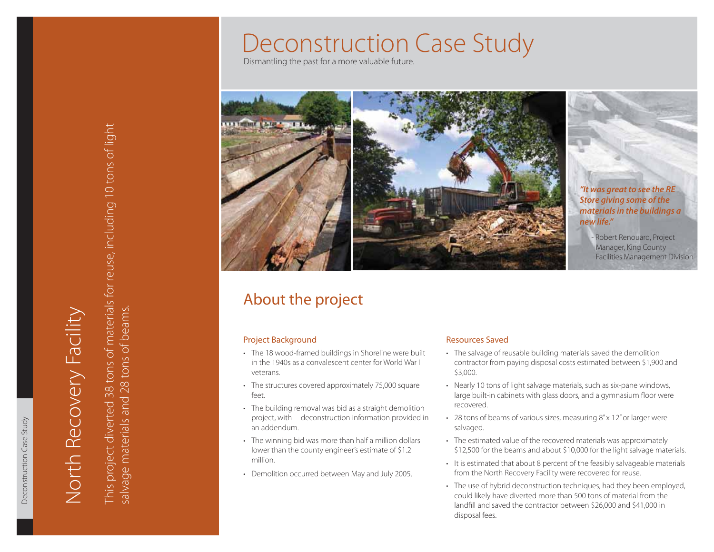# Deconstruction Case Study

Dismantling the past for a more valuable future.



*"It was great to see the RE Store giving some of the materials in the buildings a new life."*

Robert Renouard, Project Manager, King County Facilities Management Division

# About the project

- •
- •
- •
- •
- •

# Resources Saved

- The salvage of reusable building materials saved the demolition contractor from paying disposal costs estimated between \$1,900 and \$3,000.
- Nearly 10 tons of light salvage materials, such as six-pane windows, large built-in cabinets with glass doors, and a gymnasium floor were recovered.
- 28 tons of beams of various sizes, measuring 8" x 12" or larger were salvaged.
- The estimated value of the recovered materials was approximately \$12,500 for the beams and about \$10,000 for the light salvage materials.
- It is estimated that about 8 percent of the feasibly salvageable materials from the North Recovery Facility were recovered for reuse.
- The use of hybrid deconstruction techniques, had they been employed, could likely have diverted more than 500 tons of material from the landfill and saved the contractor between \$26,000 and \$41,000 in disposal fees.

Deconstruction Case Study

Deconstruction Case Study

**Project Background**<br> **Project Background**<br>
The 18 wood-framed buildings in Shoreline were built<br>
in the 1940s as a convalescent center for World War II<br>
veterans.<br>
The structures covered approximately 75,000 square<br>
feet. This project diverted 38 tons of materials for reuse, including 10 tons of light salvage materials and 28 tons of beams.